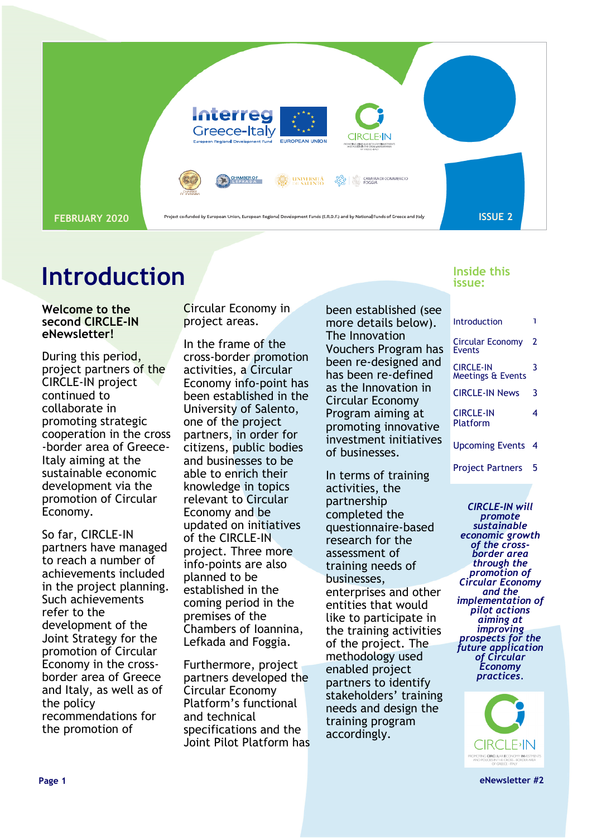

### **Introduction**

#### **Welcome to the second CIRCLE-IN eNewsletter!**

During this period, project partners of the CIRCLE-IN project continued to collaborate in promoting strategic cooperation in the cross -border area of Greece-Italy aiming at the sustainable economic development via the promotion of Circular Economy.

So far, CIRCLE-IN partners have managed to reach a number of achievements included in the project planning. Such achievements refer to the development of the Joint Strategy for the promotion of Circular Economy in the crossborder area of Greece and Italy, as well as of the policy recommendations for the promotion of

Circular Economy in project areas.

In the frame of the cross-border promotion activities, a Circular Economy info-point has been established in the University of Salento, one of the project partners, in order for citizens, public bodies and businesses to be able to enrich their knowledge in topics relevant to Circular Economy and be updated on initiatives of the CIRCLE-IN project. Three more info-points are also planned to be established in the coming period in the premises of the Chambers of Ioannina, Lefkada and Foggia.

Furthermore, project partners developed the Circular Economy Platform's functional and technical specifications and the Joint Pilot Platform has been established (see more details below). The Innovation Vouchers Program has been re-designed and has been re-defined as the Innovation in Circular Economy Program aiming at promoting innovative investment initiatives of businesses.

In terms of training activities, the partnership completed the questionnaire-based research for the assessment of training needs of businesses, enterprises and other entities that would like to participate in the training activities of the project. The methodology used enabled project partners to identify stakeholders' training needs and design the training program accordingly.

#### **Inside this issue:**

| Introduction                             |   |
|------------------------------------------|---|
| <b>Circular Economy</b><br><b>Events</b> | 2 |
| <b>CIRCLE-IN</b><br>Meetings & Events    | 3 |
| <b>CIRCLE-IN News</b>                    | 3 |
| <b>CIRCLE-IN</b><br>Platform             | 4 |
| <b>Upcoming Events</b>                   | 4 |
| <b>Project Partners</b>                  | 5 |

*CIRCLE-IN will promote sustainable economic growth of the crossborder area through the promotion of Circular Economy and the implementation of pilot actions aiming at improving prospects for the future application of Circular Economy practices.*



**Page 1 eNewsletter #2**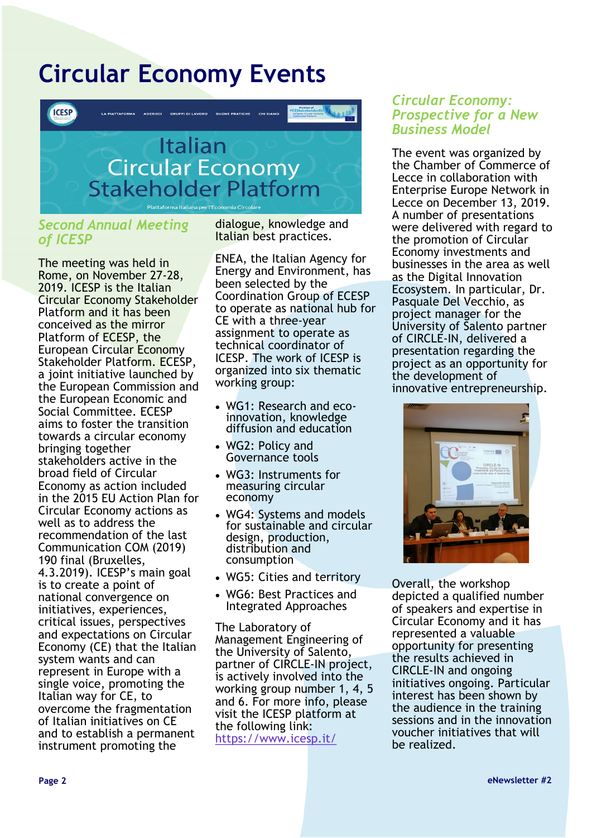# **Circular Economy Events**



#### *Second Annual Meeting of ICESP*

The meeting was held in Rome, on November 27-28, 2019. ICESP is the Italian Circular Economy Stakeholder Platform and it has been conceived as the mirror Platform of ECESP, the European Circular Economy Stakeholder Platform. ECESP, a joint initiative launched by the European Commission and the European Economic and Social Committee. ECESP aims to foster the transition towards a circular economy bringing together stakeholders active in the broad field of Circular Economy as action included in the 2015 EU Action Plan for Circular Economy actions as well as to address the recommendation of the last Communication COM (2019) 190 final (Bruxelles, 4.3.2019). ICESP's main goal is to create a point of national convergence on initiatives, experiences, critical issues, perspectives and expectations on Circular Economy (CE) that the Italian system wants and can represent in Europe with a single voice, promoting the Italian way for CE, to overcome the fragmentation of Italian initiatives on CE and to establish a permanent instrument promoting the

dialogue, knowledge and Italian best practices.

ENEA, the Italian Agency for Energy and Environment, has been selected by the Coordination Group of ECESP to operate as national hub for CE with a three-year assignment to operate as technical coordinator of ICESP. The work of ICESP is organized into six thematic working group:

- WG1: Research and ecoinnovation, knowledge diffusion and education
- WG2: Policy and Governance tools
- WG3: Instruments for measuring circular economy
- WG4: Systems and models for sustainable and circular design, production, distribution and consumption
- WG5: Cities and territory
- WG6: Best Practices and Integrated Approaches

The Laboratory of Management Engineering of the University of Salento, partner of CIRCLE-IN project, is actively involved into the working group number 1, 4, 5 and 6. For more info, please visit the ICESP platform at the following link: <https://www.icesp.it/>

#### *Circular Economy: Prospective for a New Business Model*

The event was organized by the Chamber of Commerce of Lecce in collaboration with Enterprise Europe Network in Lecce on December 13, 2019. A number of presentations were delivered with regard to the promotion of Circular Economy investments and businesses in the area as well as the Digital Innovation Ecosystem. In particular, Dr. Pasquale Del Vecchio, as project manager for the University of Salento partner of CIRCLE-IN, delivered a presentation regarding the project as an opportunity for the development of innovative entrepreneurship.



Overall, the workshop depicted a qualified number of speakers and expertise in Circular Economy and it has represented a valuable opportunity for presenting the results achieved in CIRCLE-IN and ongoing initiatives ongoing. Particular interest has been shown by the audience in the training sessions and in the innovation voucher initiatives that will be realized.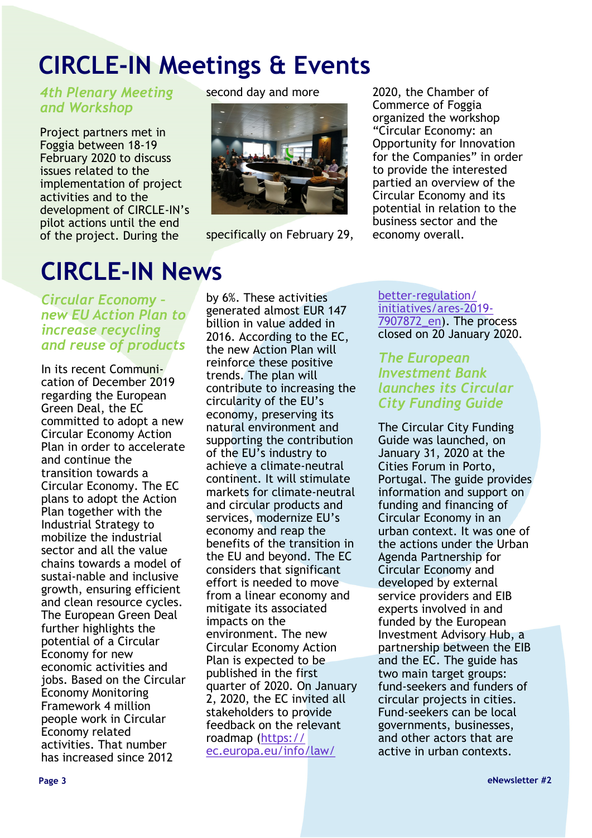# **CIRCLE-IN Meetings & Events**

*4th Plenary Meeting and Workshop*

Project partners met in Foggia between 18-19 February 2020 to discuss issues related to the implementation of project activities and to the development of CIRCLE-IN's pilot actions until the end of the project. During the

## **CIRCLE-IN News**

*Circular Economy – new EU Action Plan to increase recycling and reuse of products* 

In its recent Communication of December 2019 regarding the European Green Deal, the EC committed to adopt a new Circular Economy Action Plan in order to accelerate and continue the transition towards a Circular Economy. The EC plans to adopt the Action Plan together with the Industrial Strategy to mobilize the industrial sector and all the value chains towards a model of sustai-nable and inclusive growth, ensuring efficient and clean resource cycles. The European Green Deal further highlights the potential of a Circular Economy for new economic activities and jobs. Based on the Circular Economy Monitoring Framework 4 million people work in Circular Economy related activities. That number has increased since 2012

second day and more



specifically on February 29,

by 6%. These activities generated almost EUR 147 billion in value added in 2016. According to the EC, the new Action Plan will reinforce these positive trends. The plan will contribute to increasing the circularity of the EU's economy, preserving its natural environment and supporting the contribution of the EU's industry to achieve a climate-neutral continent. It will stimulate markets for climate-neutral and circular products and services, modernize EU's economy and reap the benefits of the transition in the EU and beyond. The EC considers that significant effort is needed to move from a linear economy and mitigate its associated impacts on the environment. The new Circular Economy Action Plan is expected to be published in the first quarter of 2020. On January 2, 2020, the EC invited all stakeholders to provide feedback on the relevant roadmap ([https://](https://ec.europa.eu/info/law/better-regulation/initiatives/ares-2019-7907872_en) [ec.europa.eu/info/law/](https://ec.europa.eu/info/law/better-regulation/initiatives/ares-2019-7907872_en)

2020, the Chamber of Commerce of Foggia organized the workshop "Circular Economy: an Opportunity for Innovation for the Companies" in order to provide the interested partied an overview of the Circular Economy and its potential in relation to the business sector and the economy overall.

better-[regulation/](https://ec.europa.eu/info/law/better-regulation/initiatives/ares-2019-7907872_en) [initiatives/ares](https://ec.europa.eu/info/law/better-regulation/initiatives/ares-2019-7907872_en)-2019- [7907872\\_en\)](https://ec.europa.eu/info/law/better-regulation/initiatives/ares-2019-7907872_en). The process closed on 20 January 2020.

### *The European Investment Bank launches its Circular City Funding Guide*

The Circular City Funding Guide was launched, on January 31, 2020 at the Cities Forum in Porto, Portugal. The guide provides information and support on funding and financing of Circular Economy in an urban context. It was one of the actions under the Urban Agenda Partnership for Circular Economy and developed by external service providers and EIB experts involved in and funded by the European Investment Advisory Hub, a partnership between the EIB and the EC. The guide has two main target groups: fund-seekers and funders of circular projects in cities. Fund-seekers can be local governments, businesses, and other actors that are active in urban contexts.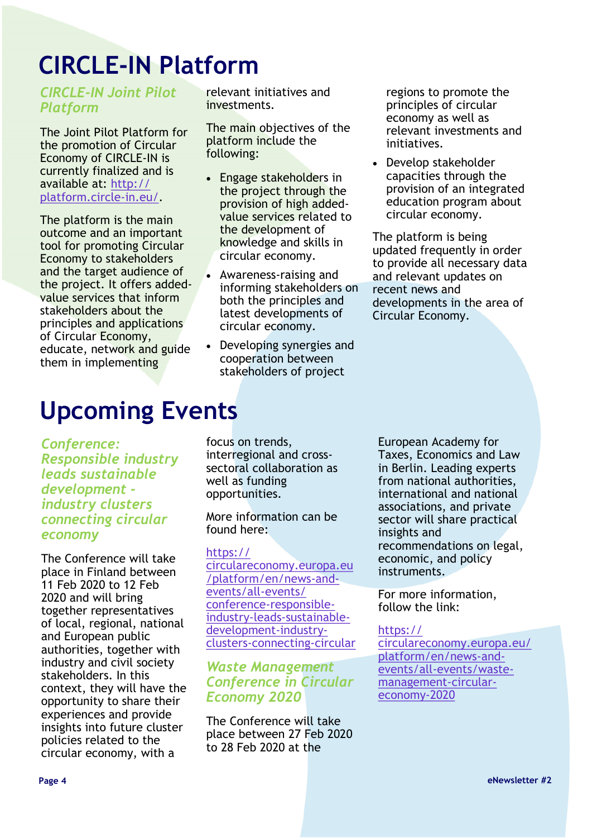## **CIRCLE-IN Platform**

*CIRCLE-IN Joint Pilot Platform*

The Joint Pilot Platform for the promotion of Circular Economy of CIRCLE-IN is currently finalized and is available at: [http://](http://platform.circle-in.eu/) [platform.circle](http://platform.circle-in.eu/)-in.eu/.

The platform is the main outcome and an important tool for promoting Circular Economy to stakeholders and the target audience of the project. It offers addedvalue services that inform stakeholders about the principles and applications of Circular Economy, educate, network and guide them in implementing

**Upcoming Events**

*Conference: Responsible industry leads sustainable development industry clusters connecting circular economy*

The Conference will take place in Finland between 11 Feb 2020 to 12 Feb 2020 and will bring together representatives of local, regional, national and European public authorities, together with industry and civil society stakeholders. In this context, they will have the opportunity to share their experiences and provide insights into future cluster policies related to the circular economy, with a

relevant initiatives and investments.

The main objectives of the platform include the following:

- Engage stakeholders in the project through the provision of high addedvalue services related to the development of knowledge and skills in circular economy.
- Awareness-raising and informing stakeholders on both the principles and latest developments of circular economy.
- Developing synergies and cooperation between stakeholders of project

regions to promote the principles of circular economy as well as relevant investments and initiatives.

• Develop stakeholder capacities through the provision of an integrated education program about circular economy.

The platform is being updated frequently in order to provide all necessary data and relevant updates on recent news and developments in the area of Circular Economy.

focus on trends, interregional and crosssectoral collaboration as well as funding opportunities.

More information can be found here:

#### [https://](https://circulareconomy.europa.eu/platform/en/news-and-events/all-events/conference-responsible-industry-leads-sustainable-development-industry-clusters-connecting-circular)

[circulareconomy.europa.eu](https://circulareconomy.europa.eu/platform/en/news-and-events/all-events/conference-responsible-industry-leads-sustainable-development-industry-clusters-connecting-circular) [/platform/en/news](https://circulareconomy.europa.eu/platform/en/news-and-events/all-events/conference-responsible-industry-leads-sustainable-development-industry-clusters-connecting-circular)-and[events/all](https://circulareconomy.europa.eu/platform/en/news-and-events/all-events/conference-responsible-industry-leads-sustainable-development-industry-clusters-connecting-circular)-events/ conference-[responsible](https://circulareconomy.europa.eu/platform/en/news-and-events/all-events/conference-responsible-industry-leads-sustainable-development-industry-clusters-connecting-circular)industry-leads-[sustainable](https://circulareconomy.europa.eu/platform/en/news-and-events/all-events/conference-responsible-industry-leads-sustainable-development-industry-clusters-connecting-circular)[development](https://circulareconomy.europa.eu/platform/en/news-and-events/all-events/conference-responsible-industry-leads-sustainable-development-industry-clusters-connecting-circular)-industryclusters-[connecting](https://circulareconomy.europa.eu/platform/en/news-and-events/all-events/conference-responsible-industry-leads-sustainable-development-industry-clusters-connecting-circular)-circular

### *Waste Management Conference in Circular Economy 2020*

The Conference will take place between 27 Feb 2020 to 28 Feb 2020 at the

European Academy for Taxes, Economics and Law in Berlin. Leading experts from national authorities, international and national associations, and private sector will share practical insights and recommendations on legal, economic, and policy instruments.

For more information, follow the link:

#### [https://](https://circulareconomy.europa.eu/platform/en/news-and-events/all-events/waste-management-circular-economy-2020)

[circulareconomy.europa.eu/](https://circulareconomy.europa.eu/platform/en/news-and-events/all-events/waste-management-circular-economy-2020) [platform/en/news](https://circulareconomy.europa.eu/platform/en/news-and-events/all-events/waste-management-circular-economy-2020)-andevents/all-[events/waste](https://circulareconomy.europa.eu/platform/en/news-and-events/all-events/waste-management-circular-economy-2020)[management](https://circulareconomy.europa.eu/platform/en/news-and-events/all-events/waste-management-circular-economy-2020)-circular[economy](https://circulareconomy.europa.eu/platform/en/news-and-events/all-events/waste-management-circular-economy-2020)-2020